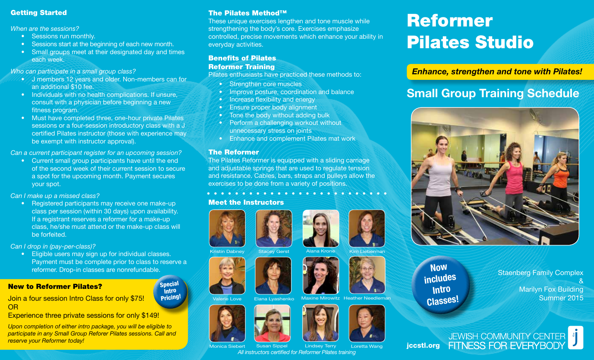# Getting Started

*When are the sessions?*

- Sessions run monthly.
- Sessions start at the beginning of each new month.
- Small groups meet at their designated day and times each week.

*Who can participate in a small group class?*

- J members 12 years and older. Non-members can for an additional \$10 fee.
- Individuals with no health complications. If unsure, consult with a physician before beginning a new fitness program.
- Must have completed three, one-hour private Pilates sessions or a four-session introductory class with a J certified Pilates instructor (those with experience may be exempt with instructor approval).

*Can a current participant register for an upcoming session?*

• Current small group participants have until the end of the second week of their current session to secure a spot for the upcoming month. Payment secures your spot.

*Can I make up a missed class?* 

• Registered participants may receive one make-up class per session (within 30 days) upon availability. If a registrant reserves a reformer for a make-up class, he/she must attend or the make-up class will be forfeited.

*Can I drop in (pay-per-class)?*

• Eligible users may sign up for individual classes. Payment must be complete prior to class to reserve a reformer. Drop-in classes are nonrefundable.

# New to Reformer Pilates?

Join a four session Intro Class for only \$75! OR

Experience three private sessions for only \$149!

*Upon completion of either intro package, you will be eligible to participate in any Small Group Reforer Pilates sessions. Call and reserve your Reformer today!*

# The Pilates Method™

These unique exercises lengthen and tone muscle while strengthening the body's core. Exercises emphasize controlled, precise movements which enhance your ability in everyday activities.

# Benefits of Pilates

# Reformer Training

Pilates enthusiasts have practiced these methods to:

- Strengthen core muscles
- Improve posture, coordination and balance
- Increase flexibility and energy
- Ensure proper body alignment
- Tone the body without adding bulk
- Perform a challenging workout without unnecessary stress on joints
- Enhance and complement Pilates mat work

# The Reformer

The Pilates Reformer is equipped with a sliding carriage and adjustable springs that are used to regulate tension and resistance. Cables, bars, straps and pulleys allow the exercises to be done from a variety of positions.

# Meet the Instructors





### Stacey Gerst Alana Krone













# Reformer Pilates Studio

*Enhance, strengthen and tone with Pilates!*

# **Small Group Training Schedule**



**Now includes Intro Classes!**

Staenberg Family Complex & Marilyn Fox Building Summer 2015

JEWISH COMMUNITY CENTER<br>FITNESS FOR EVERYBODY jccstl.org



Kristin Dabney

Special Intro Pricing!

Monica Siebert







Lindsey Terry *All instructors certified for Reformer Pilates training* Susan Sippel

Loretta Wang











Elana Lyashenko Maxine Mirowitz Heather Needleman

Kim Lieberman